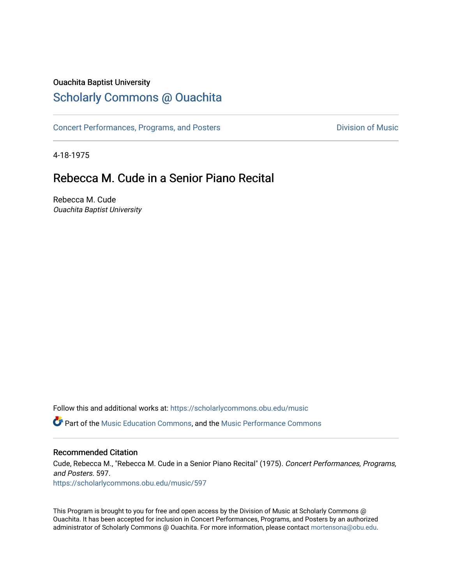## Ouachita Baptist University

# [Scholarly Commons @ Ouachita](https://scholarlycommons.obu.edu/)

[Concert Performances, Programs, and Posters](https://scholarlycommons.obu.edu/music) **Division of Music** Division of Music

4-18-1975

# Rebecca M. Cude in a Senior Piano Recital

Rebecca M. Cude Ouachita Baptist University

Follow this and additional works at: [https://scholarlycommons.obu.edu/music](https://scholarlycommons.obu.edu/music?utm_source=scholarlycommons.obu.edu%2Fmusic%2F597&utm_medium=PDF&utm_campaign=PDFCoverPages) 

**C** Part of the [Music Education Commons,](http://network.bepress.com/hgg/discipline/1246?utm_source=scholarlycommons.obu.edu%2Fmusic%2F597&utm_medium=PDF&utm_campaign=PDFCoverPages) and the Music Performance Commons

### Recommended Citation

Cude, Rebecca M., "Rebecca M. Cude in a Senior Piano Recital" (1975). Concert Performances, Programs, and Posters. 597. [https://scholarlycommons.obu.edu/music/597](https://scholarlycommons.obu.edu/music/597?utm_source=scholarlycommons.obu.edu%2Fmusic%2F597&utm_medium=PDF&utm_campaign=PDFCoverPages) 

This Program is brought to you for free and open access by the Division of Music at Scholarly Commons @ Ouachita. It has been accepted for inclusion in Concert Performances, Programs, and Posters by an authorized administrator of Scholarly Commons @ Ouachita. For more information, please contact [mortensona@obu.edu](mailto:mortensona@obu.edu).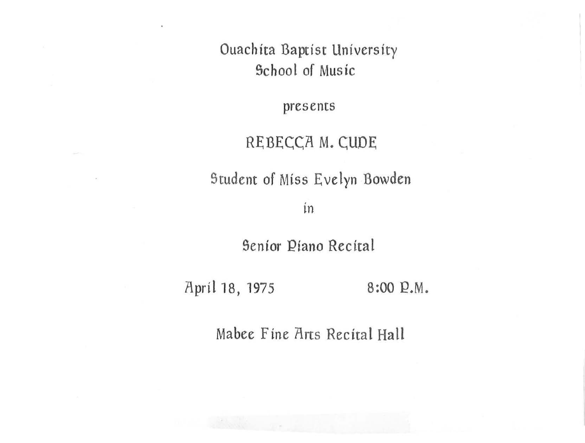Ouachita Baptist University School of Music

presents

#### REBECCA M. CUDE

Student of Miss Evelyn Bowden

in

Senior Piano Recital

April 18, 1975 8:00 P.M.

Mabee Fine Arts Recital Hall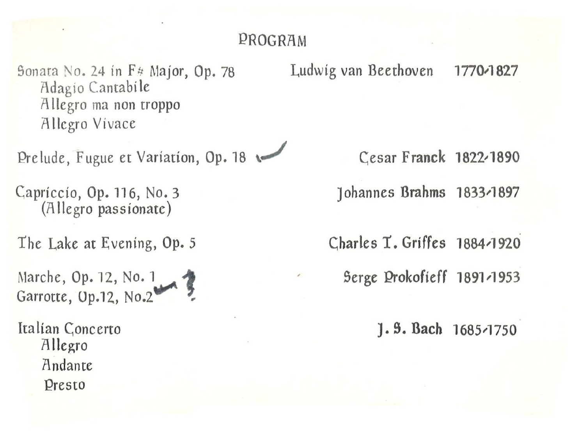### PROGRAM

Sonata No. 24 in  $F$ <sup>#</sup> Major, Op. 78 Adagio Cantabile Allegro ma non troppo Allegro Vivace

l:?relude, Fugue et Variation, Op. 18 \..,/ Cesar Franck 1822,1890

(Allegro passionate)

The Lake at Evening, Op. 5

Marche, Op. 12, No. 1 Garrotte, Op.12, No.2

Italian Concerto Allegro Andante Presto

Ludwig van Beethoven 1770-1827

Capriccio, Op. 116, No.3 Johannes Brahms 1833,1897

Charles T. Griffes 1884-1920

Serge Prokofieff 1891-1953

*].* S. Bach 1685,1750